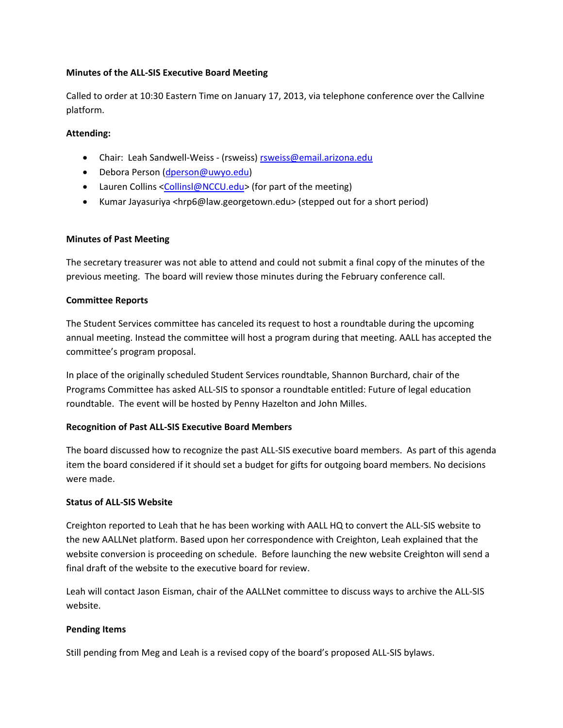#### **Minutes of the ALL-SIS Executive Board Meeting**

Called to order at 10:30 Eastern Time on January 17, 2013, via telephone conference over the Callvine platform.

#### **Attending:**

- Chair: Leah Sandwell-Weiss (rsweiss) [rsweiss@email.arizona.edu](mailto:rsweiss@email.arizona.edu)
- Debora Person [\(dperson@uwyo.edu\)](mailto:dperson@uwyo.edu)
- Lauren Collins [<Collinsl@NCCU.edu>](mailto:Collinsl@NCCU.edu) (for part of the meeting)
- Kumar Jayasuriya <hrp6@law.georgetown.edu> (stepped out for a short period)

## **Minutes of Past Meeting**

The secretary treasurer was not able to attend and could not submit a final copy of the minutes of the previous meeting. The board will review those minutes during the February conference call.

## **Committee Reports**

The Student Services committee has canceled its request to host a roundtable during the upcoming annual meeting. Instead the committee will host a program during that meeting. AALL has accepted the committee's program proposal.

In place of the originally scheduled Student Services roundtable, Shannon Burchard, chair of the Programs Committee has asked ALL-SIS to sponsor a roundtable entitled: Future of legal education roundtable. The event will be hosted by Penny Hazelton and John Milles.

#### **Recognition of Past ALL-SIS Executive Board Members**

The board discussed how to recognize the past ALL-SIS executive board members. As part of this agenda item the board considered if it should set a budget for gifts for outgoing board members. No decisions were made.

#### **Status of ALL-SIS Website**

Creighton reported to Leah that he has been working with AALL HQ to convert the ALL-SIS website to the new AALLNet platform. Based upon her correspondence with Creighton, Leah explained that the website conversion is proceeding on schedule. Before launching the new website Creighton will send a final draft of the website to the executive board for review.

Leah will contact Jason Eisman, chair of the AALLNet committee to discuss ways to archive the ALL-SIS website.

# **Pending Items**

Still pending from Meg and Leah is a revised copy of the board's proposed ALL-SIS bylaws.